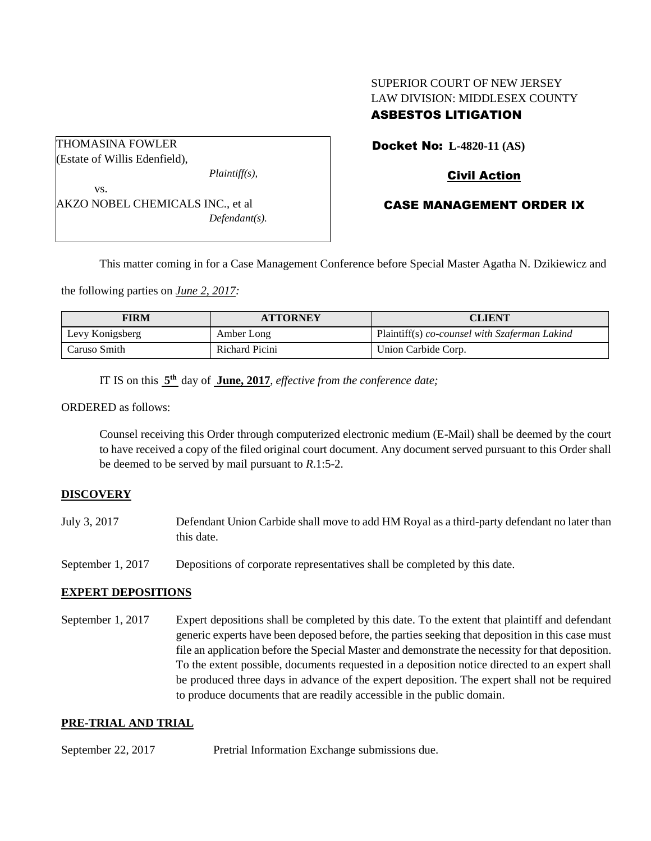# SUPERIOR COURT OF NEW JERSEY LAW DIVISION: MIDDLESEX COUNTY ASBESTOS LITIGATION

| <b>THOMASINA FOWLER</b>          |                  |
|----------------------------------|------------------|
| (Estate of Willis Edenfield),    |                  |
|                                  | $Plaintiff(s)$ , |
| VS.                              |                  |
| AKZO NOBEL CHEMICALS INC., et al |                  |
|                                  | $Defendant(s)$ . |
|                                  |                  |

Docket No: **L-4820-11 (AS)** 

## Civil Action

## CASE MANAGEMENT ORDER IX

This matter coming in for a Case Management Conference before Special Master Agatha N. Dzikiewicz and

the following parties on *June 2, 2017:*

| <b>FIRM</b>     | <b>ATTORNEY</b> | <b>CLIENT</b>                                 |
|-----------------|-----------------|-----------------------------------------------|
| Levy Konigsberg | Amber Long      | Plaintiff(s) co-counsel with Szaferman Lakind |
| Caruso Smith    | Richard Picini  | Union Carbide Corp.                           |

IT IS on this  $5<sup>th</sup>$  day of June, 2017, *effective from the conference date*;

ORDERED as follows:

Counsel receiving this Order through computerized electronic medium (E-Mail) shall be deemed by the court to have received a copy of the filed original court document. Any document served pursuant to this Order shall be deemed to be served by mail pursuant to *R*.1:5-2.

#### **DISCOVERY**

- July 3, 2017 Defendant Union Carbide shall move to add HM Royal as a third-party defendant no later than this date.
- September 1, 2017 Depositions of corporate representatives shall be completed by this date.

## **EXPERT DEPOSITIONS**

September 1, 2017 Expert depositions shall be completed by this date. To the extent that plaintiff and defendant generic experts have been deposed before, the parties seeking that deposition in this case must file an application before the Special Master and demonstrate the necessity for that deposition. To the extent possible, documents requested in a deposition notice directed to an expert shall be produced three days in advance of the expert deposition. The expert shall not be required to produce documents that are readily accessible in the public domain.

#### **PRE-TRIAL AND TRIAL**

September 22, 2017 Pretrial Information Exchange submissions due.